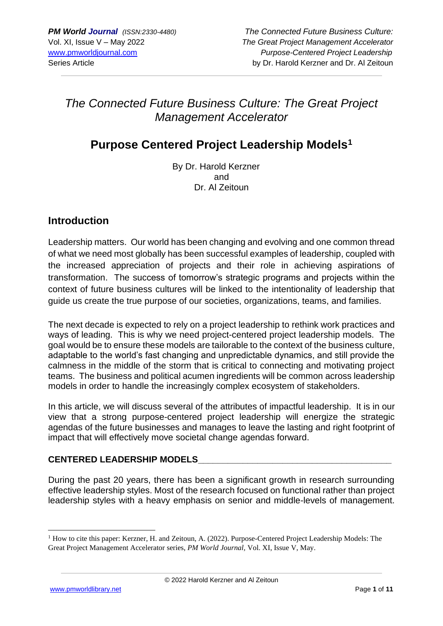# *The Connected Future Business Culture: The Great Project Management Accelerator*

# **Purpose Centered Project Leadership Models<sup>1</sup>**

By Dr. Harold Kerzner and Dr. Al Zeitoun

## **Introduction**

Leadership matters. Our world has been changing and evolving and one common thread of what we need most globally has been successful examples of leadership, coupled with the increased appreciation of projects and their role in achieving aspirations of transformation. The success of tomorrow's strategic programs and projects within the context of future business cultures will be linked to the intentionality of leadership that guide us create the true purpose of our societies, organizations, teams, and families.

The next decade is expected to rely on a project leadership to rethink work practices and ways of leading. This is why we need project-centered project leadership models. The goal would be to ensure these models are tailorable to the context of the business culture, adaptable to the world's fast changing and unpredictable dynamics, and still provide the calmness in the middle of the storm that is critical to connecting and motivating project teams. The business and political acumen ingredients will be common across leadership models in order to handle the increasingly complex ecosystem of stakeholders.

In this article, we will discuss several of the attributes of impactful leadership. It is in our view that a strong purpose-centered project leadership will energize the strategic agendas of the future businesses and manages to leave the lasting and right footprint of impact that will effectively move societal change agendas forward.

#### **CENTERED LEADERSHIP MODELS\_\_\_\_\_\_\_\_\_\_\_\_\_\_\_\_\_\_\_\_\_\_\_\_\_\_\_\_\_\_\_\_\_\_\_\_\_\_\_**

During the past 20 years, there has been a significant growth in research surrounding effective leadership styles. Most of the research focused on functional rather than project leadership styles with a heavy emphasis on senior and middle-levels of management.

<sup>&</sup>lt;sup>1</sup> How to cite this paper: Kerzner, H. and Zeitoun, A. (2022). Purpose-Centered Project Leadership Models: The Great Project Management Accelerator series, *PM World Journal,* Vol. XI, Issue V, May.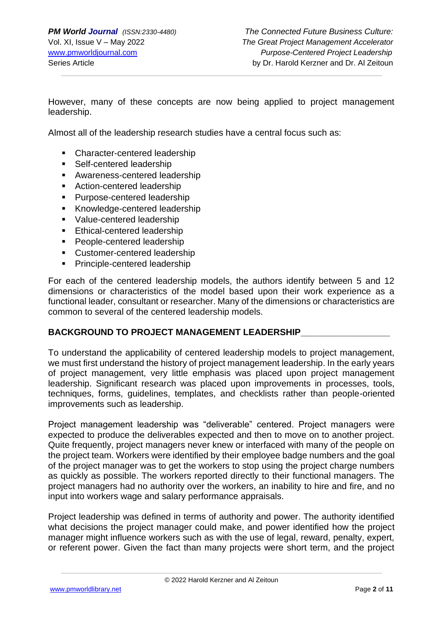However, many of these concepts are now being applied to project management leadership.

Almost all of the leadership research studies have a central focus such as:

- Character-centered leadership
- Self-centered leadership
- **EXEC** Awareness-centered leadership
- Action-centered leadership
- Purpose-centered leadership
- Knowledge-centered leadership
- Value-centered leadership
- Ethical-centered leadership
- People-centered leadership
- Customer-centered leadership
- Principle-centered leadership

For each of the centered leadership models, the authors identify between 5 and 12 dimensions or characteristics of the model based upon their work experience as a functional leader, consultant or researcher. Many of the dimensions or characteristics are common to several of the centered leadership models.

#### BACKGROUND TO PROJECT MANAGEMENT LEADERSHIP

To understand the applicability of centered leadership models to project management, we must first understand the history of project management leadership. In the early years of project management, very little emphasis was placed upon project management leadership. Significant research was placed upon improvements in processes, tools, techniques, forms, guidelines, templates, and checklists rather than people-oriented improvements such as leadership.

Project management leadership was "deliverable" centered. Project managers were expected to produce the deliverables expected and then to move on to another project. Quite frequently, project managers never knew or interfaced with many of the people on the project team. Workers were identified by their employee badge numbers and the goal of the project manager was to get the workers to stop using the project charge numbers as quickly as possible. The workers reported directly to their functional managers. The project managers had no authority over the workers, an inability to hire and fire, and no input into workers wage and salary performance appraisals.

Project leadership was defined in terms of authority and power. The authority identified what decisions the project manager could make, and power identified how the project manager might influence workers such as with the use of legal, reward, penalty, expert, or referent power. Given the fact than many projects were short term, and the project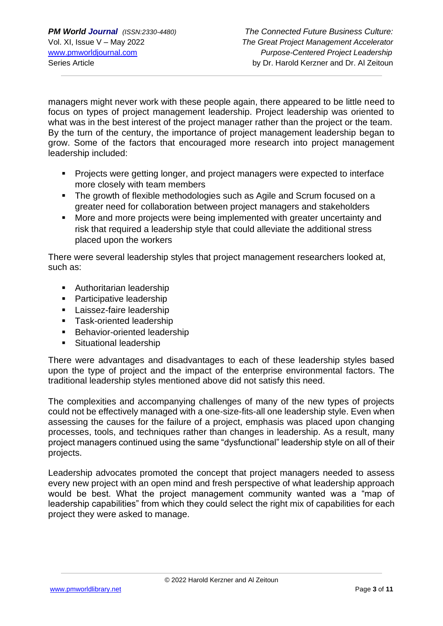managers might never work with these people again, there appeared to be little need to focus on types of project management leadership. Project leadership was oriented to what was in the best interest of the project manager rather than the project or the team. By the turn of the century, the importance of project management leadership began to grow. Some of the factors that encouraged more research into project management leadership included:

- Projects were getting longer, and project managers were expected to interface more closely with team members
- **The growth of flexible methodologies such as Agile and Scrum focused on a** greater need for collaboration between project managers and stakeholders
- More and more projects were being implemented with greater uncertainty and risk that required a leadership style that could alleviate the additional stress placed upon the workers

There were several leadership styles that project management researchers looked at, such as:

- Authoritarian leadership
- Participative leadership
- **E** Laissez-faire leadership
- Task-oriented leadership
- Behavior-oriented leadership
- Situational leadership

There were advantages and disadvantages to each of these leadership styles based upon the type of project and the impact of the enterprise environmental factors. The traditional leadership styles mentioned above did not satisfy this need.

The complexities and accompanying challenges of many of the new types of projects could not be effectively managed with a one-size-fits-all one leadership style. Even when assessing the causes for the failure of a project, emphasis was placed upon changing processes, tools, and techniques rather than changes in leadership. As a result, many project managers continued using the same "dysfunctional" leadership style on all of their projects.

Leadership advocates promoted the concept that project managers needed to assess every new project with an open mind and fresh perspective of what leadership approach would be best. What the project management community wanted was a "map of leadership capabilities" from which they could select the right mix of capabilities for each project they were asked to manage.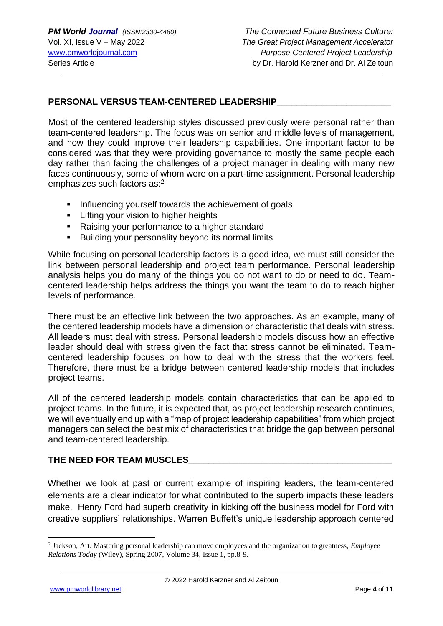#### **PERSONAL VERSUS TEAM-CENTERED LEADERSHIP\_\_\_\_\_\_\_\_\_\_\_\_\_\_\_\_\_\_\_\_\_\_\_**

Most of the centered leadership styles discussed previously were personal rather than team-centered leadership. The focus was on senior and middle levels of management, and how they could improve their leadership capabilities. One important factor to be considered was that they were providing governance to mostly the same people each day rather than facing the challenges of a project manager in dealing with many new faces continuously, some of whom were on a part-time assignment. Personal leadership emphasizes such factors as:<sup>2</sup>

- **EXECT** Influencing yourself towards the achievement of goals
- **EXECT:** Lifting your vision to higher heights
- Raising your performance to a higher standard
- Building your personality beyond its normal limits

While focusing on personal leadership factors is a good idea, we must still consider the link between personal leadership and project team performance. Personal leadership analysis helps you do many of the things you do not want to do or need to do. Teamcentered leadership helps address the things you want the team to do to reach higher levels of performance.

There must be an effective link between the two approaches. As an example, many of the centered leadership models have a dimension or characteristic that deals with stress. All leaders must deal with stress. Personal leadership models discuss how an effective leader should deal with stress given the fact that stress cannot be eliminated. Teamcentered leadership focuses on how to deal with the stress that the workers feel. Therefore, there must be a bridge between centered leadership models that includes project teams.

All of the centered leadership models contain characteristics that can be applied to project teams. In the future, it is expected that, as project leadership research continues, we will eventually end up with a "map of project leadership capabilities" from which project managers can select the best mix of characteristics that bridge the gap between personal and team-centered leadership.

#### THE NEED FOR TEAM MUSCLES

Whether we look at past or current example of inspiring leaders, the team-centered elements are a clear indicator for what contributed to the superb impacts these leaders make. Henry Ford had superb creativity in kicking off the business model for Ford with creative suppliers' relationships. Warren Buffett's unique leadership approach centered

<sup>2</sup> Jackson, Art. Mastering personal leadership can move employees and the organization to greatness, *Employee Relations Today* (Wiley), Spring 2007, Volume 34, Issue 1, pp.8-9.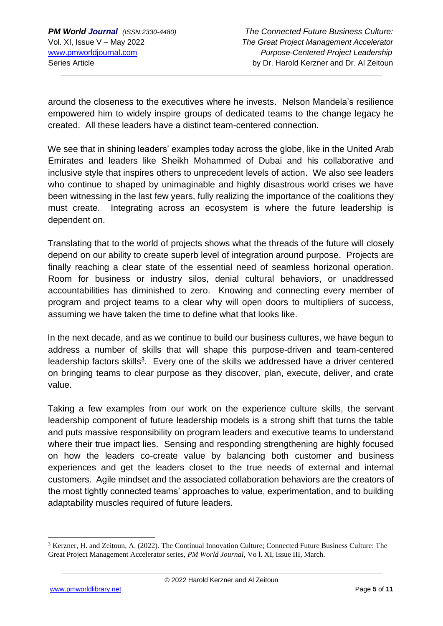around the closeness to the executives where he invests. Nelson Mandela's resilience empowered him to widely inspire groups of dedicated teams to the change legacy he created. All these leaders have a distinct team-centered connection.

We see that in shining leaders' examples today across the globe, like in the United Arab Emirates and leaders like Sheikh Mohammed of Dubai and his collaborative and inclusive style that inspires others to unprecedent levels of action. We also see leaders who continue to shaped by unimaginable and highly disastrous world crises we have been witnessing in the last few years, fully realizing the importance of the coalitions they must create. Integrating across an ecosystem is where the future leadership is dependent on.

Translating that to the world of projects shows what the threads of the future will closely depend on our ability to create superb level of integration around purpose. Projects are finally reaching a clear state of the essential need of seamless horizonal operation. Room for business or industry silos, denial cultural behaviors, or unaddressed accountabilities has diminished to zero. Knowing and connecting every member of program and project teams to a clear why will open doors to multipliers of success, assuming we have taken the time to define what that looks like.

In the next decade, and as we continue to build our business cultures, we have begun to address a number of skills that will shape this purpose-driven and team-centered leadership factors skills<sup>3</sup>. Every one of the skills we addressed have a driver centered on bringing teams to clear purpose as they discover, plan, execute, deliver, and crate value.

Taking a few examples from our work on the experience culture skills, the servant leadership component of future leadership models is a strong shift that turns the table and puts massive responsibility on program leaders and executive teams to understand where their true impact lies. Sensing and responding strengthening are highly focused on how the leaders co-create value by balancing both customer and business experiences and get the leaders closet to the true needs of external and internal customers. Agile mindset and the associated collaboration behaviors are the creators of the most tightly connected teams' approaches to value, experimentation, and to building adaptability muscles required of future leaders.

<sup>3</sup> Kerzner, H. and Zeitoun, A. (2022). The Continual Innovation Culture; Connected Future Business Culture: The Great Project Management Accelerator series, *PM World Journal,* Vo l. XI, Issue III, March.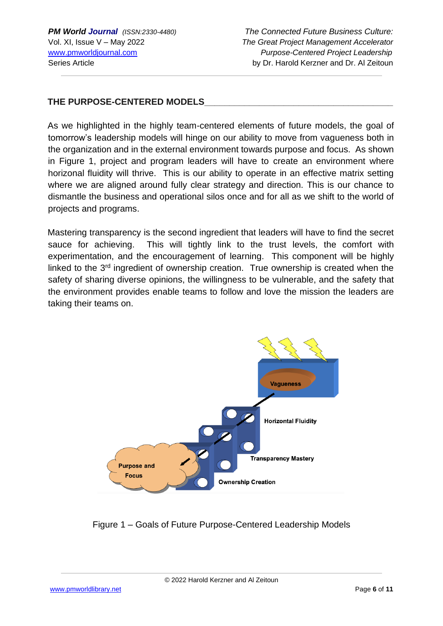#### **THE PURPOSE-CENTERED MODELS**

As we highlighted in the highly team-centered elements of future models, the goal of tomorrow's leadership models will hinge on our ability to move from vagueness both in the organization and in the external environment towards purpose and focus. As shown in Figure 1, project and program leaders will have to create an environment where horizonal fluidity will thrive. This is our ability to operate in an effective matrix setting where we are aligned around fully clear strategy and direction. This is our chance to dismantle the business and operational silos once and for all as we shift to the world of projects and programs.

Mastering transparency is the second ingredient that leaders will have to find the secret sauce for achieving. This will tightly link to the trust levels, the comfort with experimentation, and the encouragement of learning. This component will be highly linked to the 3<sup>rd</sup> ingredient of ownership creation. True ownership is created when the safety of sharing diverse opinions, the willingness to be vulnerable, and the safety that the environment provides enable teams to follow and love the mission the leaders are taking their teams on.



Figure 1 – Goals of Future Purpose-Centered Leadership Models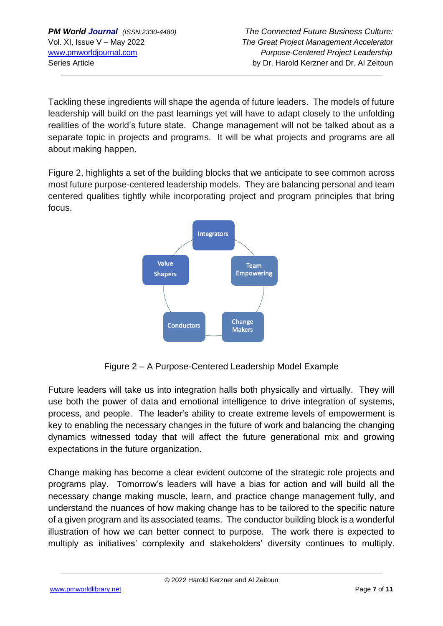Tackling these ingredients will shape the agenda of future leaders. The models of future leadership will build on the past learnings yet will have to adapt closely to the unfolding realities of the world's future state. Change management will not be talked about as a separate topic in projects and programs. It will be what projects and programs are all about making happen.

Figure 2, highlights a set of the building blocks that we anticipate to see common across most future purpose-centered leadership models. They are balancing personal and team centered qualities tightly while incorporating project and program principles that bring focus.



Figure 2 – A Purpose-Centered Leadership Model Example

Future leaders will take us into integration halls both physically and virtually. They will use both the power of data and emotional intelligence to drive integration of systems, process, and people. The leader's ability to create extreme levels of empowerment is key to enabling the necessary changes in the future of work and balancing the changing dynamics witnessed today that will affect the future generational mix and growing expectations in the future organization.

Change making has become a clear evident outcome of the strategic role projects and programs play. Tomorrow's leaders will have a bias for action and will build all the necessary change making muscle, learn, and practice change management fully, and understand the nuances of how making change has to be tailored to the specific nature of a given program and its associated teams. The conductor building block is a wonderful illustration of how we can better connect to purpose. The work there is expected to multiply as initiatives' complexity and stakeholders' diversity continues to multiply.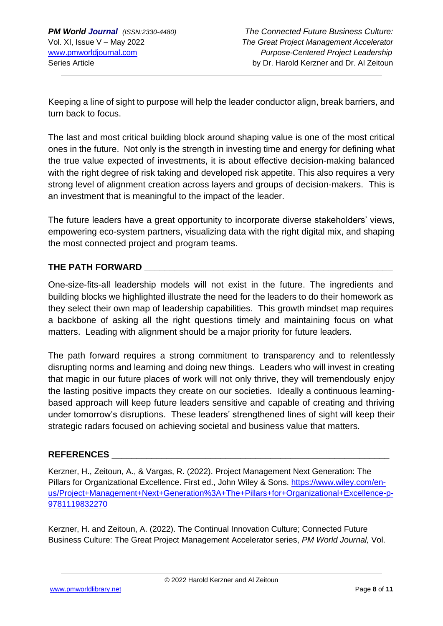Keeping a line of sight to purpose will help the leader conductor align, break barriers, and turn back to focus.

The last and most critical building block around shaping value is one of the most critical ones in the future. Not only is the strength in investing time and energy for defining what the true value expected of investments, it is about effective decision-making balanced with the right degree of risk taking and developed risk appetite. This also requires a very strong level of alignment creation across layers and groups of decision-makers. This is an investment that is meaningful to the impact of the leader.

The future leaders have a great opportunity to incorporate diverse stakeholders' views, empowering eco-system partners, visualizing data with the right digital mix, and shaping the most connected project and program teams.

#### **THE PATH FORWARD \_\_\_\_\_\_\_\_\_\_\_\_\_\_\_\_\_\_\_\_\_\_\_\_\_\_\_\_\_\_\_\_\_\_\_\_\_\_\_\_\_\_\_\_\_\_\_\_\_\_**

One-size-fits-all leadership models will not exist in the future. The ingredients and building blocks we highlighted illustrate the need for the leaders to do their homework as they select their own map of leadership capabilities. This growth mindset map requires a backbone of asking all the right questions timely and maintaining focus on what matters. Leading with alignment should be a major priority for future leaders.

The path forward requires a strong commitment to transparency and to relentlessly disrupting norms and learning and doing new things. Leaders who will invest in creating that magic in our future places of work will not only thrive, they will tremendously enjoy the lasting positive impacts they create on our societies. Ideally a continuous learningbased approach will keep future leaders sensitive and capable of creating and thriving under tomorrow's disruptions. These leaders' strengthened lines of sight will keep their strategic radars focused on achieving societal and business value that matters.

#### **REFERENCES \_\_\_\_\_\_\_\_\_\_\_\_\_\_\_\_\_\_\_\_\_\_\_\_\_\_\_\_\_\_\_\_\_\_\_\_\_\_\_\_\_\_\_\_\_\_\_\_\_\_\_\_\_\_\_\_**

Kerzner, H., Zeitoun, A., & Vargas, R. (2022). Project Management Next Generation: The Pillars for Organizational Excellence. First ed., John Wiley & Sons. [https://www.wiley.com/en](https://www.wiley.com/en-us/Project+Management+Next+Generation%3A+The+Pillars+for+Organizational+Excellence-p-9781119832270)[us/Project+Management+Next+Generation%3A+The+Pillars+for+Organizational+Excellence-p-](https://www.wiley.com/en-us/Project+Management+Next+Generation%3A+The+Pillars+for+Organizational+Excellence-p-9781119832270)[9781119832270](https://www.wiley.com/en-us/Project+Management+Next+Generation%3A+The+Pillars+for+Organizational+Excellence-p-9781119832270)

Kerzner, H. and Zeitoun, A. (2022). The Continual Innovation Culture; Connected Future Business Culture: The Great Project Management Accelerator series, *PM World Journal,* Vol.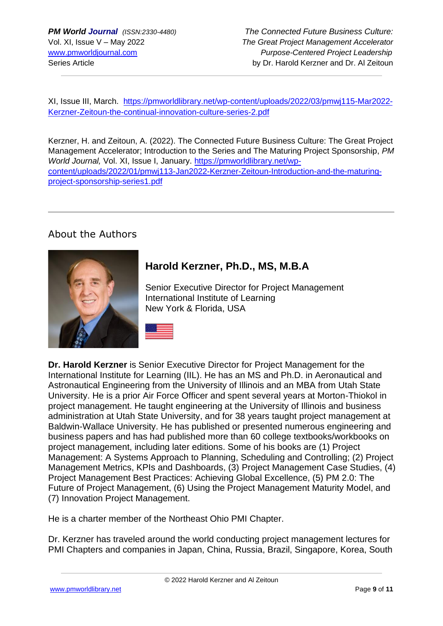XI, Issue III, March. [https://pmworldlibrary.net/wp-content/uploads/2022/03/pmwj115-Mar2022-](https://pmworldlibrary.net/wp-content/uploads/2022/03/pmwj115-Mar2022-Kerzner-Zeitoun-the-continual-innovation-culture-series-2.pdf) [Kerzner-Zeitoun-the-continual-innovation-culture-series-2.pdf](https://pmworldlibrary.net/wp-content/uploads/2022/03/pmwj115-Mar2022-Kerzner-Zeitoun-the-continual-innovation-culture-series-2.pdf)

Kerzner, H. and Zeitoun, A. (2022). The Connected Future Business Culture: The Great Project Management Accelerator; Introduction to the Series and The Maturing Project Sponsorship, *PM World Journal,* Vol. XI, Issue I, January. [https://pmworldlibrary.net/wp](https://pmworldlibrary.net/wp-content/uploads/2022/01/pmwj113-Jan2022-Kerzner-Zeitoun-Introduction-and-the-maturing-project-sponsorship-series1.pdf)[content/uploads/2022/01/pmwj113-Jan2022-Kerzner-Zeitoun-Introduction-and-the-maturing](https://pmworldlibrary.net/wp-content/uploads/2022/01/pmwj113-Jan2022-Kerzner-Zeitoun-Introduction-and-the-maturing-project-sponsorship-series1.pdf)[project-sponsorship-series1.pdf](https://pmworldlibrary.net/wp-content/uploads/2022/01/pmwj113-Jan2022-Kerzner-Zeitoun-Introduction-and-the-maturing-project-sponsorship-series1.pdf)

## About the Authors



## **Harold Kerzner, Ph.D., MS, M.B.A**

Senior Executive Director for Project Management International Institute of Learning New York & Florida, USA

**Dr. Harold Kerzner** is Senior Executive Director for Project Management for the International Institute for Learning (IIL). He has an MS and Ph.D. in Aeronautical and Astronautical Engineering from the University of Illinois and an MBA from Utah State University. He is a prior Air Force Officer and spent several years at Morton-Thiokol in project management. He taught engineering at the University of Illinois and business administration at Utah State University, and for 38 years taught project management at Baldwin-Wallace University. He has published or presented numerous engineering and business papers and has had published more than 60 college textbooks/workbooks on project management, including later editions. Some of his books are (1) Project Management: A Systems Approach to Planning, Scheduling and Controlling; (2) Project Management Metrics, KPIs and Dashboards, (3) Project Management Case Studies, (4) Project Management Best Practices: Achieving Global Excellence, (5) PM 2.0: The Future of Project Management, (6) Using the Project Management Maturity Model, and (7) Innovation Project Management.

He is a charter member of the Northeast Ohio PMI Chapter.

Dr. Kerzner has traveled around the world conducting project management lectures for PMI Chapters and companies in Japan, China, Russia, Brazil, Singapore, Korea, South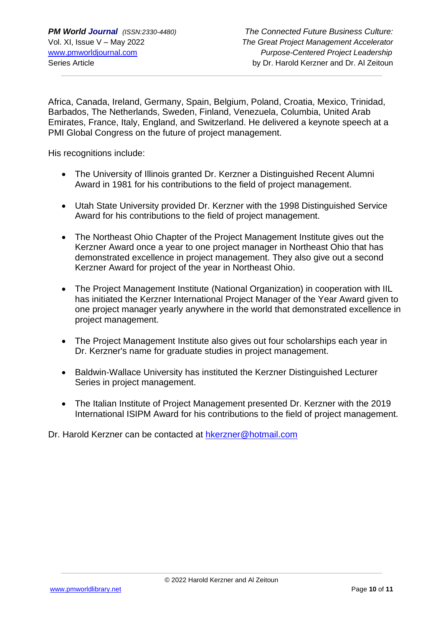Africa, Canada, Ireland, Germany, Spain, Belgium, Poland, Croatia, Mexico, Trinidad, Barbados, The Netherlands, Sweden, Finland, Venezuela, Columbia, United Arab Emirates, France, Italy, England, and Switzerland. He delivered a keynote speech at a PMI Global Congress on the future of project management.

His recognitions include:

- The University of Illinois granted Dr. Kerzner a Distinguished Recent Alumni Award in 1981 for his contributions to the field of project management.
- Utah State University provided Dr. Kerzner with the 1998 Distinguished Service Award for his contributions to the field of project management.
- The Northeast Ohio Chapter of the Project Management Institute gives out the Kerzner Award once a year to one project manager in Northeast Ohio that has demonstrated excellence in project management. They also give out a second Kerzner Award for project of the year in Northeast Ohio.
- The Project Management Institute (National Organization) in cooperation with IIL has initiated the Kerzner International Project Manager of the Year Award given to one project manager yearly anywhere in the world that demonstrated excellence in project management.
- The Project Management Institute also gives out four scholarships each year in Dr. Kerzner's name for graduate studies in project management.
- Baldwin-Wallace University has instituted the Kerzner Distinguished Lecturer Series in project management.
- The Italian Institute of Project Management presented Dr. Kerzner with the 2019 International ISIPM Award for his contributions to the field of project management.

Dr. Harold Kerzner can be contacted at [hkerzner@hotmail.com](mailto:hkerzner@hotmail.com)